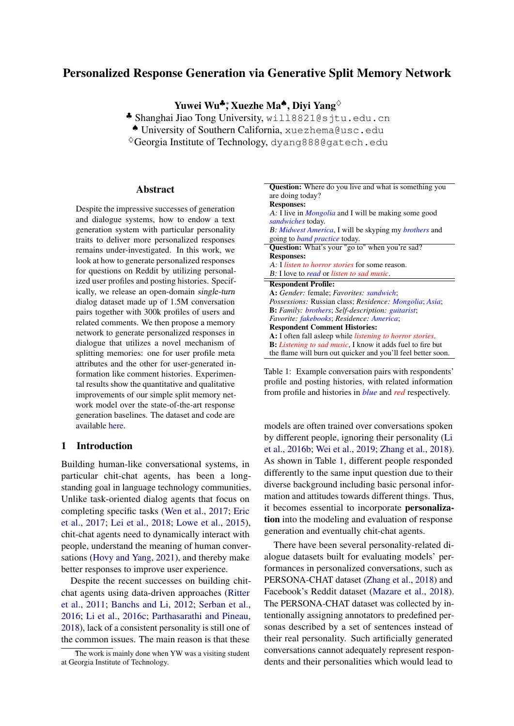# Personalized Response Generation via Generative Split Memory Network

Yuwei Wu<sup>♣</sup>\*, Xuezhe Ma<sup>♠</sup>, Diyi Yang<sup>◇</sup>

♣ Shanghai Jiao Tong University, will8821@sjtu.edu.cn

♠ University of Southern California, xuezhema@usc.edu

 $\sqrt[6]{\text{Georgia Institute of Technology}}$ , dyang888@gatech.edu

#### Abstract

Despite the impressive successes of generation and dialogue systems, how to endow a text generation system with particular personality traits to deliver more personalized responses remains under-investigated. In this work, we look at how to generate personalized responses for questions on Reddit by utilizing personalized user profiles and posting histories. Specifically, we release an open-domain single-turn dialog dataset made up of 1.5M conversation pairs together with 300k profiles of users and related comments. We then propose a memory network to generate personalized responses in dialogue that utilizes a novel mechanism of splitting memories: one for user profile meta attributes and the other for user-generated information like comment histories. Experimental results show the quantitative and qualitative improvements of our simple split memory network model over the state-of-the-art response generation baselines. The dataset and code are available [here.](https://github.com/Willyoung2017/PER-CHAT)

#### 1 Introduction

Building human-like conversational systems, in particular chit-chat agents, has been a longstanding goal in language technology communities. Unlike task-oriented dialog agents that focus on completing specific tasks [\(Wen et al.,](#page-10-0) [2017;](#page-10-0) [Eric](#page-8-0) [et al.,](#page-8-0) [2017;](#page-8-0) [Lei et al.,](#page-9-0) [2018;](#page-9-0) [Lowe et al.,](#page-9-1) [2015\)](#page-9-1), chit-chat agents need to dynamically interact with people, understand the meaning of human conversations [\(Hovy and Yang,](#page-8-1) [2021\)](#page-8-1), and thereby make better responses to improve user experience.

Despite the recent successes on building chitchat agents using data-driven approaches [\(Ritter](#page-9-2) [et al.,](#page-9-2) [2011;](#page-9-2) [Banchs and Li,](#page-8-2) [2012;](#page-8-2) [Serban et al.,](#page-9-3) [2016;](#page-9-3) [Li et al.,](#page-9-4) [2016c;](#page-9-4) [Parthasarathi and Pineau,](#page-9-5) [2018\)](#page-9-5), lack of a consistent personality is still one of the common issues. The main reason is that these

<span id="page-0-0"></span>

| <b>Question:</b> Where do you live and what is something you                  |
|-------------------------------------------------------------------------------|
| are doing today?                                                              |
| <b>Responses:</b>                                                             |
| A: I live in <i>Mongolia</i> and I will be making some good                   |
| sandwiches today.                                                             |
| B: Midwest America, I will be skyping my brothers and                         |
| going to <i>band practice</i> today.                                          |
| <b>Question:</b> What's your "go to" when you're sad?                         |
| <b>Responses:</b>                                                             |
| A: I <i>listen to horror stories</i> for some reason.                         |
| B: I love to read or listen to sad music.                                     |
| <b>Respondent Profile:</b>                                                    |
| <b>A:</b> Gender: female; Favorites: sandwich;                                |
| <i>Possessions:</i> Russian class; <i>Residence: Mongolia</i> ; <i>Asia</i> ; |
| <b>B:</b> Family: <b>brothers</b> ; Self-description: <i>guitarist</i> ;      |
| Favorite: fakebooks; Residence: America;                                      |
| <b>Respondent Comment Histories:</b>                                          |
| A: I often fall asleep while <i>listening to horror stories</i> .             |
| <b>B</b> : <i>Listening to sad music</i> , I know it adds fuel to fire but    |
| the flame will burn out quicker and you'll feel better soon.                  |

Table 1: Example conversation pairs with respondents' profile and posting histories, with related information from profile and histories in *blue* and *red* respectively.

models are often trained over conversations spoken by different people, ignoring their personality [\(Li](#page-9-6) [et al.,](#page-9-6) [2016b;](#page-9-6) [Wei et al.,](#page-10-1) [2019;](#page-10-1) [Zhang et al.,](#page-10-2) [2018\)](#page-10-2). As shown in Table [1,](#page-0-0) different people responded differently to the same input question due to their diverse background including basic personal information and attitudes towards different things. Thus, it becomes essential to incorporate personalization into the modeling and evaluation of response generation and eventually chit-chat agents.

There have been several personality-related dialogue datasets built for evaluating models' performances in personalized conversations, such as PERSONA-CHAT dataset [\(Zhang et al.,](#page-10-2) [2018\)](#page-10-2) and Facebook's Reddit dataset [\(Mazare et al.,](#page-9-7) [2018\)](#page-9-7). The PERSONA-CHAT dataset was collected by intentionally assigning annotators to predefined personas described by a set of sentences instead of their real personality. Such artificially generated conversations cannot adequately represent respondents and their personalities which would lead to

The work is mainly done when YW was a visiting student at Georgia Institute of Technology.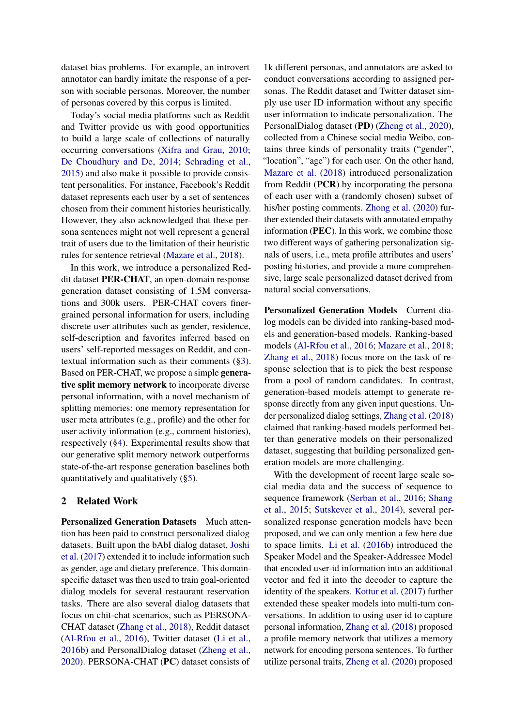dataset bias problems. For example, an introvert annotator can hardly imitate the response of a person with sociable personas. Moreover, the number of personas covered by this corpus is limited.

Today's social media platforms such as Reddit and Twitter provide us with good opportunities to build a large scale of collections of naturally occurring conversations [\(Xifra and Grau,](#page-10-3) [2010;](#page-10-3) [De Choudhury and De,](#page-8-3) [2014;](#page-8-3) [Schrading et al.,](#page-9-8) [2015\)](#page-9-8) and also make it possible to provide consistent personalities. For instance, Facebook's Reddit dataset represents each user by a set of sentences chosen from their comment histories heuristically. However, they also acknowledged that these persona sentences might not well represent a general trait of users due to the limitation of their heuristic rules for sentence retrieval [\(Mazare et al.,](#page-9-7) [2018\)](#page-9-7).

In this work, we introduce a personalized Reddit dataset PER-CHAT, an open-domain response generation dataset consisting of 1.5M conversations and 300k users. PER-CHAT covers finergrained personal information for users, including discrete user attributes such as gender, residence, self-description and favorites inferred based on users' self-reported messages on Reddit, and contextual information such as their comments ([§3\)](#page-2-0). Based on PER-CHAT, we propose a simple generative split memory network to incorporate diverse personal information, with a novel mechanism of splitting memories: one memory representation for user meta attributes (e.g., profile) and the other for user activity information (e.g., comment histories), respectively ([§4\)](#page-4-0). Experimental results show that our generative split memory network outperforms state-of-the-art response generation baselines both quantitatively and qualitatively ([§5\)](#page-5-0).

#### 2 Related Work

Personalized Generation Datasets Much attention has been paid to construct personalized dialog datasets. Built upon the bAbI dialog dataset, [Joshi](#page-8-4) [et al.](#page-8-4) [\(2017\)](#page-8-4) extended it to include information such as gender, age and dietary preference. This domainspecific dataset was then used to train goal-oriented dialog models for several restaurant reservation tasks. There are also several dialog datasets that focus on chit-chat scenarios, such as PERSONA-CHAT dataset [\(Zhang et al.,](#page-10-2) [2018\)](#page-10-2), Reddit dataset [\(Al-Rfou et al.,](#page-8-5) [2016\)](#page-8-5), Twitter dataset [\(Li et al.,](#page-9-6) [2016b\)](#page-9-6) and PersonalDialog dataset [\(Zheng et al.,](#page-10-4) [2020\)](#page-10-4). PERSONA-CHAT (PC) dataset consists of

1k different personas, and annotators are asked to conduct conversations according to assigned personas. The Reddit dataset and Twitter dataset simply use user ID information without any specific user information to indicate personalization. The PersonalDialog dataset (PD) [\(Zheng et al.,](#page-10-4) [2020\)](#page-10-4), collected from a Chinese social media Weibo, contains three kinds of personality traits ("gender", "location", "age") for each user. On the other hand, [Mazare et al.](#page-9-7) [\(2018\)](#page-9-7) introduced personalization from Reddit (PCR) by incorporating the persona of each user with a (randomly chosen) subset of his/her posting comments. [Zhong et al.](#page-10-5) [\(2020\)](#page-10-5) further extended their datasets with annotated empathy information (PEC). In this work, we combine those two different ways of gathering personalization signals of users, i.e., meta profile attributes and users' posting histories, and provide a more comprehensive, large scale personalized dataset derived from natural social conversations.

Personalized Generation Models Current dialog models can be divided into ranking-based models and generation-based models. Ranking-based models [\(Al-Rfou et al.,](#page-8-5) [2016;](#page-8-5) [Mazare et al.,](#page-9-7) [2018;](#page-9-7) [Zhang et al.,](#page-10-2) [2018\)](#page-10-2) focus more on the task of response selection that is to pick the best response from a pool of random candidates. In contrast, generation-based models attempt to generate response directly from any given input questions. Under personalized dialog settings, [Zhang et al.](#page-10-2) [\(2018\)](#page-10-2) claimed that ranking-based models performed better than generative models on their personalized dataset, suggesting that building personalized generation models are more challenging.

With the development of recent large scale social media data and the success of sequence to sequence framework [\(Serban et al.,](#page-9-3) [2016;](#page-9-3) [Shang](#page-9-9) [et al.,](#page-9-9) [2015;](#page-9-9) [Sutskever et al.,](#page-9-10) [2014\)](#page-9-10), several personalized response generation models have been proposed, and we can only mention a few here due to space limits. [Li et al.](#page-9-6) [\(2016b\)](#page-9-6) introduced the Speaker Model and the Speaker-Addressee Model that encoded user-id information into an additional vector and fed it into the decoder to capture the identity of the speakers. [Kottur et al.](#page-9-11) [\(2017\)](#page-9-11) further extended these speaker models into multi-turn conversations. In addition to using user id to capture personal information, [Zhang et al.](#page-10-2) [\(2018\)](#page-10-2) proposed a profile memory network that utilizes a memory network for encoding persona sentences. To further utilize personal traits, [Zheng et al.](#page-10-4) [\(2020\)](#page-10-4) proposed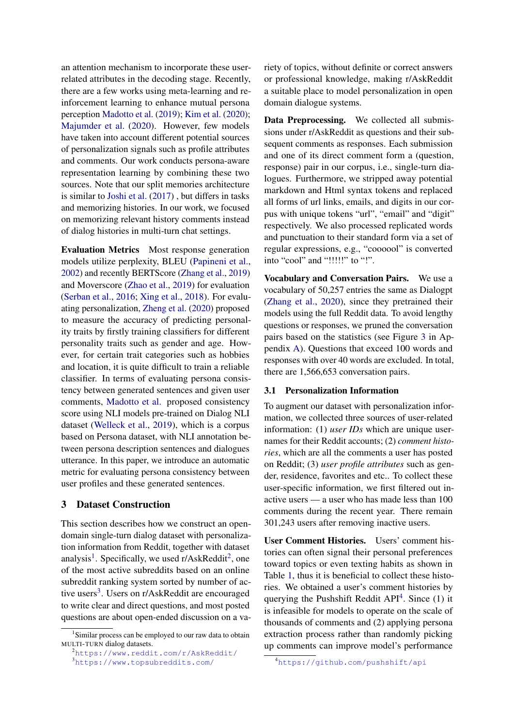an attention mechanism to incorporate these userrelated attributes in the decoding stage. Recently, there are a few works using meta-learning and reinforcement learning to enhance mutual persona perception [Madotto et al.](#page-9-12) [\(2019\)](#page-9-12); [Kim et al.](#page-9-13) [\(2020\)](#page-9-13); [Majumder et al.](#page-9-14) [\(2020\)](#page-9-14). However, few models have taken into account different potential sources of personalization signals such as profile attributes and comments. Our work conducts persona-aware representation learning by combining these two sources. Note that our split memories architecture is similar to [Joshi et al.](#page-8-4) [\(2017\)](#page-8-4) , but differs in tasks and memorizing histories. In our work, we focused on memorizing relevant history comments instead of dialog histories in multi-turn chat settings.

Evaluation Metrics Most response generation models utilize perplexity, BLEU [\(Papineni et al.,](#page-9-15) [2002\)](#page-9-15) and recently BERTScore [\(Zhang et al.,](#page-10-6) [2019\)](#page-10-6) and Moverscore [\(Zhao et al.,](#page-10-7) [2019\)](#page-10-7) for evaluation [\(Serban et al.,](#page-9-3) [2016;](#page-9-3) [Xing et al.,](#page-10-8) [2018\)](#page-10-8). For evaluating personalization, [Zheng et al.](#page-10-4) [\(2020\)](#page-10-4) proposed to measure the accuracy of predicting personality traits by firstly training classifiers for different personality traits such as gender and age. However, for certain trait categories such as hobbies and location, it is quite difficult to train a reliable classifier. In terms of evaluating persona consistency between generated sentences and given user comments, [Madotto et al.](#page-9-12) proposed consistency score using NLI models pre-trained on Dialog NLI dataset [\(Welleck et al.,](#page-10-9) [2019\)](#page-10-9), which is a corpus based on Persona dataset, with NLI annotation between persona description sentences and dialogues utterance. In this paper, we introduce an automatic metric for evaluating persona consistency between user profiles and these generated sentences.

### <span id="page-2-0"></span>3 Dataset Construction

This section describes how we construct an opendomain single-turn dialog dataset with personalization information from Reddit, together with dataset analysis<sup>[1](#page-2-1)</sup>. Specifically, we used r/AskReddit<sup>[2](#page-2-2)</sup>, one of the most active subreddits based on an online subreddit ranking system sorted by number of ac-tive users<sup>[3](#page-2-3)</sup>. Users on  $r/A$ skReddit are encouraged to write clear and direct questions, and most posted questions are about open-ended discussion on a va-

<span id="page-2-3"></span><span id="page-2-2"></span><sup>2</sup><https://www.reddit.com/r/AskReddit/> <sup>3</sup><https://www.topsubreddits.com/>

riety of topics, without definite or correct answers or professional knowledge, making r/AskReddit a suitable place to model personalization in open domain dialogue systems.

Data Preprocessing. We collected all submissions under r/AskReddit as questions and their subsequent comments as responses. Each submission and one of its direct comment form a (question, response) pair in our corpus, i.e., single-turn dialogues. Furthermore, we stripped away potential markdown and Html syntax tokens and replaced all forms of url links, emails, and digits in our corpus with unique tokens "url", "email" and "digit" respectively. We also processed replicated words and punctuation to their standard form via a set of regular expressions, e.g., "coooool" is converted into "cool" and "!!!!!" to "!".

Vocabulary and Conversation Pairs. We use a vocabulary of 50,257 entries the same as Dialogpt [\(Zhang et al.,](#page-10-10) [2020\)](#page-10-10), since they pretrained their models using the full Reddit data. To avoid lengthy questions or responses, we pruned the conversation pairs based on the statistics (see Figure [3](#page-11-0) in Appendix [A\)](#page-11-1). Questions that exceed 100 words and responses with over 40 words are excluded. In total, there are 1,566,653 conversation pairs.

#### 3.1 Personalization Information

To augment our dataset with personalization information, we collected three sources of user-related information: (1) *user IDs* which are unique usernames for their Reddit accounts; (2) *comment histories*, which are all the comments a user has posted on Reddit; (3) *user profile attributes* such as gender, residence, favorites and etc.. To collect these user-specific information, we first filtered out inactive users — a user who has made less than 100 comments during the recent year. There remain 301,243 users after removing inactive users.

User Comment Histories. Users' comment histories can often signal their personal preferences toward topics or even texting habits as shown in Table [1,](#page-0-0) thus it is beneficial to collect these histories. We obtained a user's comment histories by querying the Pushshift Reddit  $API<sup>4</sup>$  $API<sup>4</sup>$  $API<sup>4</sup>$ . Since (1) it is infeasible for models to operate on the scale of thousands of comments and (2) applying persona extraction process rather than randomly picking up comments can improve model's performance

<span id="page-2-1"></span><sup>&</sup>lt;sup>1</sup>Similar process can be employed to our raw data to obtain MULTI-TURN dialog datasets.

<span id="page-2-4"></span><sup>4</sup><https://github.com/pushshift/api>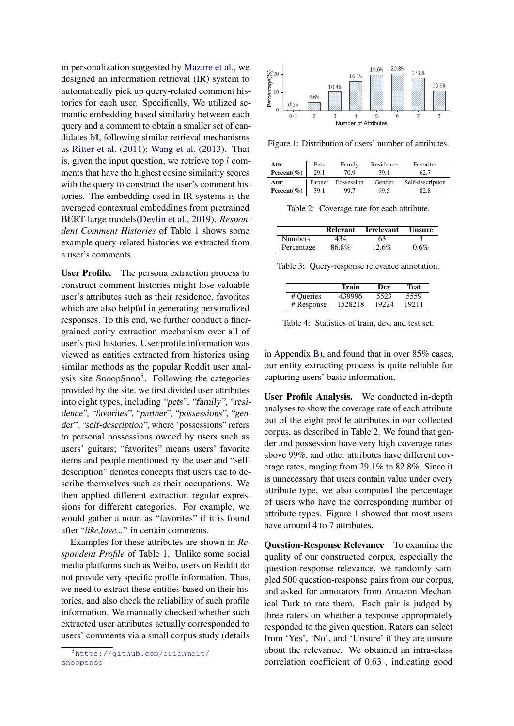in personalization suggested by [Mazare et al.,](#page-9-7) we designed an information retrieval (IR) system to automatically pick up query-related comment histories for each user. Specifically, We utilized semantic embedding based similarity between each query and a comment to obtain a smaller set of candidates M, following similar retrieval mechanisms as [Ritter et al.](#page-9-2) [\(2011\)](#page-9-2); [Wang et al.](#page-10-11) [\(2013\)](#page-10-11). That is, given the input question, we retrieve top  $l$  comments that have the highest cosine similarity scores with the query to construct the user's comment histories. The embedding used in IR systems is the averaged contextual embeddings from pretrained BERT-large models[\(Devlin et al.,](#page-8-6) [2019\)](#page-8-6). *Respondent Comment Histories* of Table [1](#page-0-0) shows some example query-related histories we extracted from a user's comments.

User Profile. The persona extraction process to construct comment histories might lose valuable user's attributes such as their residence, favorites which are also helpful in generating personalized responses. To this end, we further conduct a finergrained entity extraction mechanism over all of user's past histories. User profile information was viewed as entities extracted from histories using similar methods as the popular Reddit user anal-ysis site SnoopSnoo<sup>[5](#page-3-0)</sup>. Following the categories provided by the site, we first divided user attributes into eight types, including "pets", "family", "residence", "favorites", "partner", "possessions", "gender", "self-description", where 'possessions" refers to personal possessions owned by users such as users' guitars; "favorites" means users' favorite items and people mentioned by the user and "selfdescription" denotes concepts that users use to describe themselves such as their occupations. We then applied different extraction regular expressions for different categories. For example, we would gather a noun as "favorites" if it is found after "*like,love,..*" in certain comments.

Examples for these attributes are shown in *Respondent Profile* of Table [1.](#page-0-0) Unlike some social media platforms such as Weibo, users on Reddit do not provide very specific profile information. Thus, we need to extract these entities based on their histories, and also check the reliability of such profile information. We manually checked whether such extracted user attributes actually corresponded to users' comments via a small corpus study (details

<span id="page-3-2"></span>

Figure 1: Distribution of users' number of attributes.

<span id="page-3-1"></span>

| Attr            | Pets    | Family     | Residence | <b>Favorites</b> |
|-----------------|---------|------------|-----------|------------------|
| Percent $(\% )$ | 29.1    | 70.9       | 39 1      |                  |
| Attr            | Partner | Possession | Gender    | Self-description |
| Percent $(\% )$ | 39.1    | 997        | 99.5      | 82.8             |

Table 2: Coverage rate for each attribute.

<span id="page-3-3"></span>

|                | <b>Relevant</b> | <b>Irrelevant</b> | Unsure  |
|----------------|-----------------|-------------------|---------|
| <b>Numbers</b> | 434             | 63                |         |
| Percentage     | 86.8%           | $12.6\%$          | $0.6\%$ |

<span id="page-3-4"></span>Table 3: Query-response relevance annotation.

|            | Train   | Dev   | Test  |
|------------|---------|-------|-------|
| # Queries  | 439996  | 5523  | 5559  |
| # Response | 1528218 | 19224 | 19211 |

Table 4: Statistics of train, dev, and test set.

in Appendix [B\)](#page-11-2), and found that in over 85% cases, our entity extracting process is quite reliable for capturing users' basic information.

User Profile Analysis. We conducted in-depth analyses to show the coverage rate of each attribute out of the eight profile attributes in our collected corpus, as described in Table [2.](#page-3-1) We found that gender and possession have very high coverage rates above 99%, and other attributes have different coverage rates, ranging from 29.1% to 82.8%. Since it is unnecessary that users contain value under every attribute type, we also computed the percentage of users who have the corresponding number of attribute types. Figure [1](#page-3-2) showed that most users have around 4 to 7 attributes.

Question-Response Relevance To examine the quality of our constructed corpus, especially the question-response relevance, we randomly sampled 500 question-response pairs from our corpus, and asked for annotators from Amazon Mechanical Turk to rate them. Each pair is judged by three raters on whether a response appropriately responded to the given question. Raters can select from 'Yes', 'No', and 'Unsure' if they are unsure about the relevance. We obtained an intra-class correlation coefficient of 0.63 , indicating good

<span id="page-3-0"></span><sup>5</sup>[https://github.com/orionmelt/](https://github.com/orionmelt/snoopsnoo) [snoopsnoo](https://github.com/orionmelt/snoopsnoo)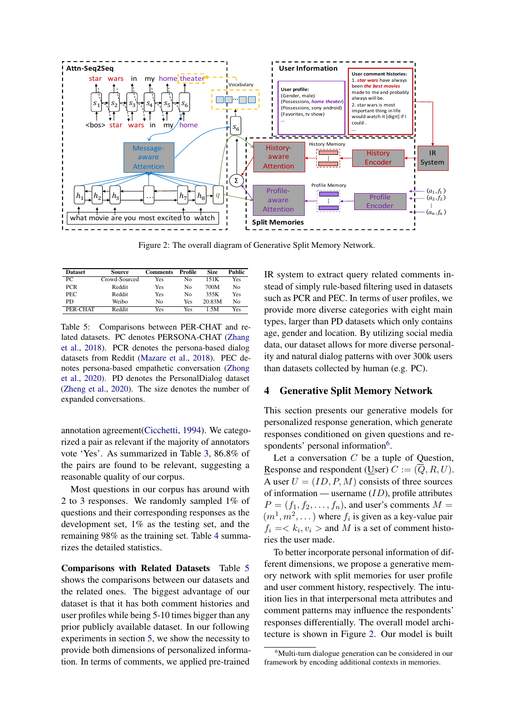<span id="page-4-3"></span>

Figure 2: The overall diagram of Generative Split Memory Network.

<span id="page-4-1"></span>

| <b>Dataset</b> | Source        | Comments | Profile | <b>Size</b> | <b>Public</b>  |
|----------------|---------------|----------|---------|-------------|----------------|
| PC.            | Crowd-Sourced | Yes      | No      | 151K        | Yes            |
| <b>PCR</b>     | Reddit        | Yes      | No      | 700M        | N <sub>0</sub> |
| PEC            | Reddit        | Yes      | No      | 355K        | Yes            |
| PD             | Weibo         | No       | Yes     | 20.83M      | No             |
| PER-CHAT       | Reddit        | Yes      | Yes     | 1.5M        | Yes            |

Table 5: Comparisons between PER-CHAT and related datasets. PC denotes PERSONA-CHAT [\(Zhang](#page-10-2) [et al.,](#page-10-2) [2018\)](#page-10-2). PCR denotes the persona-based dialog datasets from Reddit [\(Mazare et al.,](#page-9-7) [2018\)](#page-9-7). PEC denotes persona-based empathetic conversation [\(Zhong](#page-10-5) [et al.,](#page-10-5) [2020\)](#page-10-5). PD denotes the PersonalDialog dataset [\(Zheng et al.,](#page-10-4) [2020\)](#page-10-4). The size denotes the number of expanded conversations.

annotation agreement[\(Cicchetti,](#page-8-7) [1994\)](#page-8-7). We categorized a pair as relevant if the majority of annotators vote 'Yes'. As summarized in Table [3,](#page-3-3) 86.8% of the pairs are found to be relevant, suggesting a reasonable quality of our corpus.

Most questions in our corpus has around with 2 to 3 responses. We randomly sampled 1% of questions and their corresponding responses as the development set, 1% as the testing set, and the remaining 98% as the training set. Table [4](#page-3-4) summarizes the detailed statistics.

Comparisons with Related Datasets Table [5](#page-4-1) shows the comparisons between our datasets and the related ones. The biggest advantage of our dataset is that it has both comment histories and user profiles while being 5-10 times bigger than any prior publicly available dataset. In our following experiments in section [5,](#page-5-0) we show the necessity to provide both dimensions of personalized information. In terms of comments, we applied pre-trained

IR system to extract query related comments instead of simply rule-based filtering used in datasets such as PCR and PEC. In terms of user profiles, we provide more diverse categories with eight main types, larger than PD datasets which only contains age, gender and location. By utilizing social media data, our dataset allows for more diverse personality and natural dialog patterns with over 300k users than datasets collected by human (e.g. PC).

#### <span id="page-4-0"></span>4 Generative Split Memory Network

This section presents our generative models for personalized response generation, which generate responses conditioned on given questions and re-spondents' personal information<sup>[6](#page-4-2)</sup>.

Let a conversation  $C$  be a tuple of Question, Response and respondent (User)  $C := (Q, R, U)$ . A user  $U = (ID, P, M)$  consists of three sources of information — username  $(ID)$ , profile attributes  $P = (f_1, f_2, \ldots, f_n)$ , and user's comments  $M =$  $(m<sup>1</sup>, m<sup>2</sup>, ...)$  where  $f<sub>i</sub>$  is given as a key-value pair  $f_i = \langle k_i, v_i \rangle$  and M is a set of comment histories the user made.

To better incorporate personal information of different dimensions, we propose a generative memory network with split memories for user profile and user comment history, respectively. The intuition lies in that interpersonal meta attributes and comment patterns may influence the respondents' responses differentially. The overall model architecture is shown in Figure [2.](#page-4-3) Our model is built

<span id="page-4-2"></span> $6$ Multi-turn dialogue generation can be considered in our framework by encoding additional contexts in memories.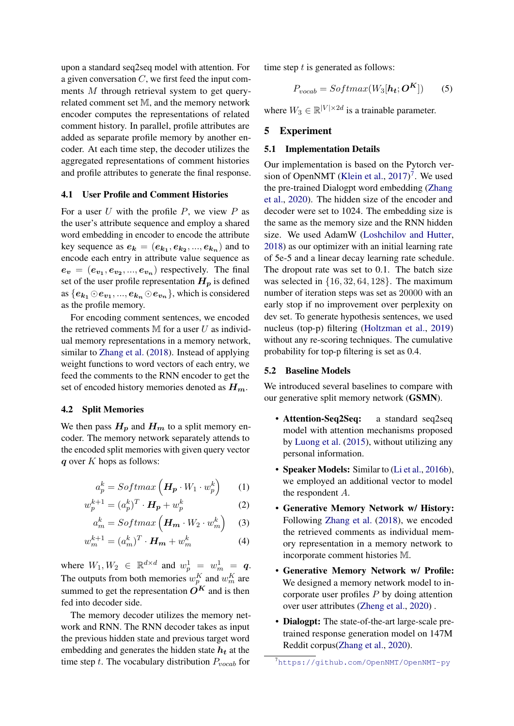upon a standard seq2seq model with attention. For a given conversation  $C$ , we first feed the input comments M through retrieval system to get queryrelated comment set M, and the memory network encoder computes the representations of related comment history. In parallel, profile attributes are added as separate profile memory by another encoder. At each time step, the decoder utilizes the aggregated representations of comment histories and profile attributes to generate the final response.

#### 4.1 User Profile and Comment Histories

For a user  $U$  with the profile  $P$ , we view  $P$  as the user's attribute sequence and employ a shared word embedding in encoder to encode the attribute key sequence as  $e_{k} = (e_{k_1}, e_{k_2}, ..., e_{k_n})$  and to encode each entry in attribute value sequence as  $e_v = (e_{v_1}, e_{v_2}, ..., e_{v_n})$  respectively. The final set of the user profile representation  $H_p$  is defined as  $\{e_{\boldsymbol{k_{1}}}\odot e_{\boldsymbol{v}_{1}},...,e_{\boldsymbol{k_{n}}}\odot e_{\boldsymbol{v}_{n}}\}$ , which is considered as the profile memory.

For encoding comment sentences, we encoded the retrieved comments  $M$  for a user  $U$  as individual memory representations in a memory network, similar to [Zhang et al.](#page-10-2) [\(2018\)](#page-10-2). Instead of applying weight functions to word vectors of each entry, we feed the comments to the RNN encoder to get the set of encoded history memories denoted as  $H_m$ .

#### 4.2 Split Memories

We then pass  $H_p$  and  $H_m$  to a split memory encoder. The memory network separately attends to the encoded split memories with given query vector  $q$  over  $K$  hops as follows:

$$
a_p^k = Softmax\left(\boldsymbol{H_p} \cdot W_1 \cdot w_p^k\right) \qquad (1)
$$

$$
w_p^{k+1} = (a_p^k)^T \cdot \boldsymbol{H_p} + w_p^k \tag{2}
$$

$$
a_m^k = Softmax\left(\mathbf{H_m} \cdot W_2 \cdot w_m^k\right) \quad (3)
$$

$$
w_m^{k+1} = (a_m^k)^T \cdot \boldsymbol{H_m} + w_m^k \tag{4}
$$

where  $W_1, W_2 \in \mathbb{R}^{d \times d}$  and  $w_p^1 = w_m^1 = q$ . The outputs from both memories  $w_p^K$  and  $w_m^K$  are summed to get the representation  $O^{K}$  and is then fed into decoder side.

The memory decoder utilizes the memory network and RNN. The RNN decoder takes as input the previous hidden state and previous target word embedding and generates the hidden state  $h_t$  at the time step t. The vocabulary distribution  $P_{vocal}$  for

time step  $t$  is generated as follows:

$$
P_{vocab} = Softmax(W_3[h_t; \boldsymbol{O}^K])
$$
 (5)

where  $W_3 \in \mathbb{R}^{|V| \times 2d}$  is a trainable parameter.

### <span id="page-5-0"></span>5 Experiment

#### 5.1 Implementation Details

Our implementation is based on the Pytorch ver-sion of OpenNMT [\(Klein et al.,](#page-9-16) [2017\)](#page-9-16)<sup>[7](#page-5-1)</sup>. We used the pre-trained Dialogpt word embedding [\(Zhang](#page-10-10) [et al.,](#page-10-10) [2020\)](#page-10-10). The hidden size of the encoder and decoder were set to 1024. The embedding size is the same as the memory size and the RNN hidden size. We used AdamW [\(Loshchilov and Hutter,](#page-9-17) [2018\)](#page-9-17) as our optimizer with an initial learning rate of 5e-5 and a linear decay learning rate schedule. The dropout rate was set to 0.1. The batch size was selected in  $\{16, 32, 64, 128\}$ . The maximum number of iteration steps was set as 20000 with an early stop if no improvement over perplexity on dev set. To generate hypothesis sentences, we used nucleus (top-p) filtering [\(Holtzman et al.,](#page-8-8) [2019\)](#page-8-8) without any re-scoring techniques. The cumulative probability for top-p filtering is set as 0.4.

#### 5.2 Baseline Models

We introduced several baselines to compare with our generative split memory network (GSMN).

- Attention-Seq2Seq: a standard seq2seq model with attention mechanisms proposed by [Luong et al.](#page-9-18) [\(2015\)](#page-9-18), without utilizing any personal information.
- Speaker Models: Similar to [\(Li et al.,](#page-9-6) [2016b\)](#page-9-6), we employed an additional vector to model the respondent A.
- Generative Memory Network w/ History: Following [Zhang et al.](#page-10-2) [\(2018\)](#page-10-2), we encoded the retrieved comments as individual memory representation in a memory network to incorporate comment histories M.
- Generative Memory Network w/ Profile: We designed a memory network model to incorporate user profiles  $P$  by doing attention over user attributes [\(Zheng et al.,](#page-10-4) [2020\)](#page-10-4) .
- Dialogpt: The state-of-the-art large-scale pretrained response generation model on 147M Reddit corpus[\(Zhang et al.,](#page-10-10) [2020\)](#page-10-10).

<span id="page-5-1"></span><sup>7</sup><https://github.com/OpenNMT/OpenNMT-py>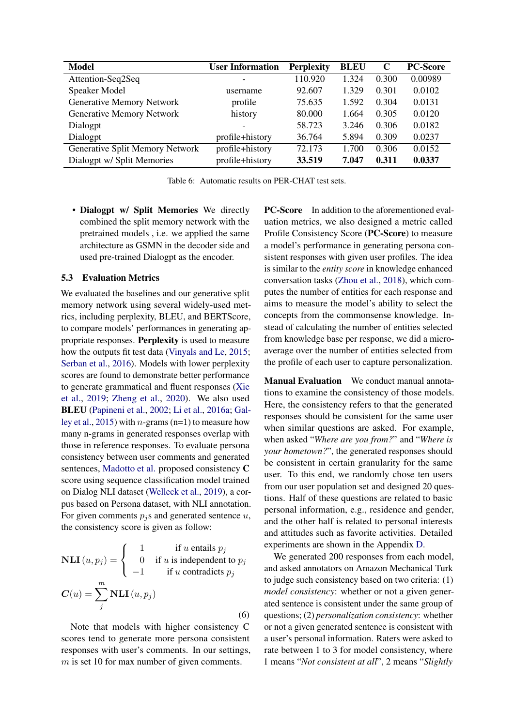<span id="page-6-0"></span>

| Model                            | <b>User Information</b> | <b>Perplexity</b> | <b>BLEU</b> | $\mathbf C$ | <b>PC-Score</b> |
|----------------------------------|-------------------------|-------------------|-------------|-------------|-----------------|
| Attention-Seq2Seq                |                         | 110.920           | 1.324       | 0.300       | 0.00989         |
| Speaker Model                    | username                | 92.607            | 1.329       | 0.301       | 0.0102          |
| Generative Memory Network        | profile                 | 75.635            | 1.592       | 0.304       | 0.0131          |
| <b>Generative Memory Network</b> | history                 | 80.000            | 1.664       | 0.305       | 0.0120          |
| Dialogpt                         |                         | 58.723            | 3.246       | 0.306       | 0.0182          |
| Dialogpt                         | profile+history         | 36.764            | 5.894       | 0.309       | 0.0237          |
| Generative Split Memory Network  | profile+history         | 72.173            | 1.700       | 0.306       | 0.0152          |
| Dialogpt w/ Split Memories       | profile+history         | 33.519            | 7.047       | 0.311       | 0.0337          |

Table 6: Automatic results on PER-CHAT test sets.

• Dialogpt w/ Split Memories We directly combined the split memory network with the pretrained models , i.e. we applied the same architecture as GSMN in the decoder side and used pre-trained Dialogpt as the encoder.

#### 5.3 Evaluation Metrics

We evaluated the baselines and our generative split memory network using several widely-used metrics, including perplexity, BLEU, and BERTScore, to compare models' performances in generating appropriate responses. Perplexity is used to measure how the outputs fit test data [\(Vinyals and Le,](#page-9-19) [2015;](#page-9-19) [Serban et al.,](#page-9-3) [2016\)](#page-9-3). Models with lower perplexity scores are found to demonstrate better performance to generate grammatical and fluent responses [\(Xie](#page-10-12) [et al.,](#page-10-12) [2019;](#page-10-12) [Zheng et al.,](#page-10-4) [2020\)](#page-10-4). We also used BLEU [\(Papineni et al.,](#page-9-15) [2002;](#page-9-15) [Li et al.,](#page-9-20) [2016a;](#page-9-20) [Gal](#page-8-9)[ley et al.,](#page-8-9) [2015\)](#page-8-9) with *n*-grams (n=1) to measure how many n-grams in generated responses overlap with those in reference responses. To evaluate persona consistency between user comments and generated sentences, [Madotto et al.](#page-9-12) proposed consistency C score using sequence classification model trained on Dialog NLI dataset [\(Welleck et al.,](#page-10-9) [2019\)](#page-10-9), a corpus based on Persona dataset, with NLI annotation. For given comments  $p_i$ s and generated sentence u, the consistency score is given as follow:

$$
\mathbf{NLI}(u, p_j) = \begin{cases} 1 & \text{if } u \text{ entails } p_j \\ 0 & \text{if } u \text{ is independent to } p_j \\ -1 & \text{if } u \text{ contradicts } p_j \end{cases}
$$

$$
C(u) = \sum_{j}^{m} \mathbf{NLI}(u, p_j)
$$
(6)

Note that models with higher consistency C scores tend to generate more persona consistent responses with user's comments. In our settings,  $m$  is set 10 for max number of given comments.

PC-Score In addition to the aforementioned evaluation metrics, we also designed a metric called Profile Consistency Score (PC-Score) to measure a model's performance in generating persona consistent responses with given user profiles. The idea is similar to the *entity score* in knowledge enhanced conversation tasks [\(Zhou et al.,](#page-10-13) [2018\)](#page-10-13), which computes the number of entities for each response and aims to measure the model's ability to select the concepts from the commonsense knowledge. Instead of calculating the number of entities selected from knowledge base per response, we did a microaverage over the number of entities selected from the profile of each user to capture personalization.

Manual Evaluation We conduct manual annotations to examine the consistency of those models. Here, the consistency refers to that the generated responses should be consistent for the same user when similar questions are asked. For example, when asked "*Where are you from?*" and "*Where is your hometown?*", the generated responses should be consistent in certain granularity for the same user. To this end, we randomly chose ten users from our user population set and designed 20 questions. Half of these questions are related to basic personal information, e.g., residence and gender, and the other half is related to personal interests and attitudes such as favorite activities. Detailed experiments are shown in the Appendix [D.](#page-12-0)

We generated 200 responses from each model, and asked annotators on Amazon Mechanical Turk to judge such consistency based on two criteria: (1) *model consistency*: whether or not a given generated sentence is consistent under the same group of questions; (2) *personalization consistency*: whether or not a given generated sentence is consistent with a user's personal information. Raters were asked to rate between 1 to 3 for model consistency, where 1 means "*Not consistent at all*", 2 means "*Slightly*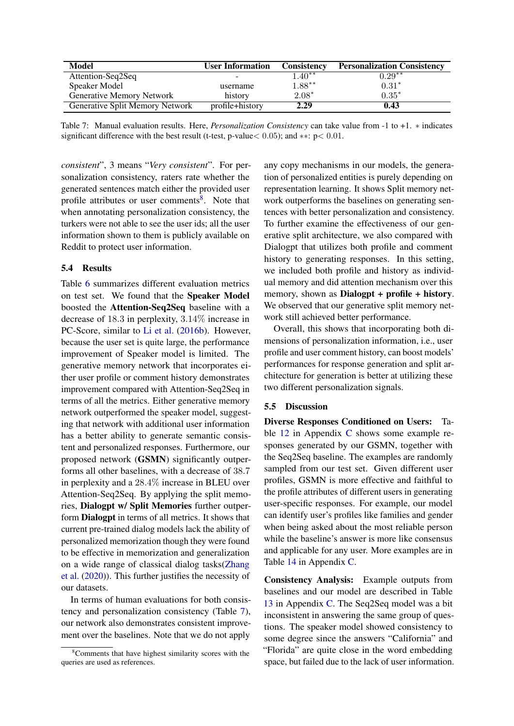<span id="page-7-1"></span>

| Model                            | <b>User Information</b>      | <b>Consistency</b> | <b>Personalization Consistency</b> |
|----------------------------------|------------------------------|--------------------|------------------------------------|
| Attention-Seq2Seq                | $\qquad \qquad \blacksquare$ | $4.40**$           | $0.29**$                           |
| Speaker Model                    | username                     | $1.88***$          | $0.31*$                            |
| <b>Generative Memory Network</b> | history                      | $2.08*$            | $0.35*$                            |
| Generative Split Memory Network  | profile+history              | 2.29               | 0.43                               |

Table 7: Manual evaluation results. Here, *Personalization Consistency* can take value from -1 to +1. ∗ indicates significant difference with the best result (t-test, p-value< 0.05); and ∗∗: p< 0.01.

*consistent*", 3 means "*Very consistent*". For personalization consistency, raters rate whether the generated sentences match either the provided user profile attributes or user comments<sup>[8](#page-7-0)</sup>. Note that when annotating personalization consistency, the turkers were not able to see the user ids; all the user information shown to them is publicly available on Reddit to protect user information.

#### 5.4 Results

Table [6](#page-6-0) summarizes different evaluation metrics on test set. We found that the Speaker Model boosted the Attention-Seq2Seq baseline with a decrease of 18.3 in perplexity, 3.14% increase in PC-Score, similar to [Li et al.](#page-9-6) [\(2016b\)](#page-9-6). However, because the user set is quite large, the performance improvement of Speaker model is limited. The generative memory network that incorporates either user profile or comment history demonstrates improvement compared with Attention-Seq2Seq in terms of all the metrics. Either generative memory network outperformed the speaker model, suggesting that network with additional user information has a better ability to generate semantic consistent and personalized responses. Furthermore, our proposed network (GSMN) significantly outperforms all other baselines, with a decrease of 38.7 in perplexity and a 28.4% increase in BLEU over Attention-Seq2Seq. By applying the split memories, Dialogpt w/ Split Memories further outperform Dialogpt in terms of all metrics. It shows that current pre-trained dialog models lack the ability of personalized memorization though they were found to be effective in memorization and generalization on a wide range of classical dialog tasks[\(Zhang](#page-10-10) [et al.](#page-10-10) [\(2020\)](#page-10-10)). This further justifies the necessity of our datasets.

In terms of human evaluations for both consistency and personalization consistency (Table [7\)](#page-7-1), our network also demonstrates consistent improvement over the baselines. Note that we do not apply

any copy mechanisms in our models, the generation of personalized entities is purely depending on representation learning. It shows Split memory network outperforms the baselines on generating sentences with better personalization and consistency. To further examine the effectiveness of our generative split architecture, we also compared with Dialogpt that utilizes both profile and comment history to generating responses. In this setting, we included both profile and history as individual memory and did attention mechanism over this memory, shown as **Dialogpt** + profile + history. We observed that our generative split memory network still achieved better performance.

Overall, this shows that incorporating both dimensions of personalization information, i.e., user profile and user comment history, can boost models' performances for response generation and split architecture for generation is better at utilizing these two different personalization signals.

#### 5.5 Discussion

Diverse Responses Conditioned on Users: Table [12](#page-12-1) in Appendix [C](#page-12-2) shows some example responses generated by our GSMN, together with the Seq2Seq baseline. The examples are randomly sampled from our test set. Given different user profiles, GSMN is more effective and faithful to the profile attributes of different users in generating user-specific responses. For example, our model can identify user's profiles like families and gender when being asked about the most reliable person while the baseline's answer is more like consensus and applicable for any user. More examples are in Table [14](#page-13-0) in Appendix [C.](#page-12-2)

Consistency Analysis: Example outputs from baselines and our model are described in Table [13](#page-12-3) in Appendix [C.](#page-12-2) The Seq2Seq model was a bit inconsistent in answering the same group of questions. The speaker model showed consistency to some degree since the answers "California" and "Florida" are quite close in the word embedding space, but failed due to the lack of user information.

<span id="page-7-0"></span><sup>8</sup>Comments that have highest similarity scores with the queries are used as references.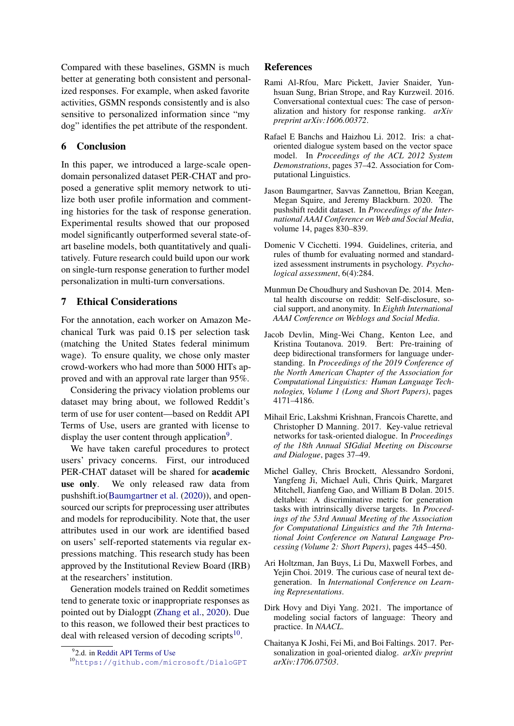Compared with these baselines, GSMN is much better at generating both consistent and personalized responses. For example, when asked favorite activities, GSMN responds consistently and is also sensitive to personalized information since "my dog" identifies the pet attribute of the respondent.

### 6 Conclusion

In this paper, we introduced a large-scale opendomain personalized dataset PER-CHAT and proposed a generative split memory network to utilize both user profile information and commenting histories for the task of response generation. Experimental results showed that our proposed model significantly outperformed several state-ofart baseline models, both quantitatively and qualitatively. Future research could build upon our work on single-turn response generation to further model personalization in multi-turn conversations.

### 7 Ethical Considerations

For the annotation, each worker on Amazon Mechanical Turk was paid 0.1\$ per selection task (matching the United States federal minimum wage). To ensure quality, we chose only master crowd-workers who had more than 5000 HITs approved and with an approval rate larger than 95%.

Considering the privacy violation problems our dataset may bring about, we followed Reddit's term of use for user content—based on Reddit API Terms of Use, users are granted with license to display the user content through application<sup>[9](#page-8-10)</sup>.

We have taken careful procedures to protect users' privacy concerns. First, our introduced PER-CHAT dataset will be shared for academic use only. We only released raw data from pushshift.io[\(Baumgartner et al.](#page-8-11) [\(2020\)](#page-8-11)), and opensourced our scripts for preprocessing user attributes and models for reproducibility. Note that, the user attributes used in our work are identified based on users' self-reported statements via regular expressions matching. This research study has been approved by the Institutional Review Board (IRB) at the researchers' institution.

Generation models trained on Reddit sometimes tend to generate toxic or inappropriate responses as pointed out by Dialogpt [\(Zhang et al.,](#page-10-10) [2020\)](#page-10-10). Due to this reason, we followed their best practices to deal with released version of decoding scripts<sup>[10](#page-8-12)</sup>.

#### References

- <span id="page-8-5"></span>Rami Al-Rfou, Marc Pickett, Javier Snaider, Yunhsuan Sung, Brian Strope, and Ray Kurzweil. 2016. Conversational contextual cues: The case of personalization and history for response ranking. *arXiv preprint arXiv:1606.00372*.
- <span id="page-8-2"></span>Rafael E Banchs and Haizhou Li. 2012. Iris: a chatoriented dialogue system based on the vector space model. In *Proceedings of the ACL 2012 System Demonstrations*, pages 37–42. Association for Computational Linguistics.
- <span id="page-8-11"></span>Jason Baumgartner, Savvas Zannettou, Brian Keegan, Megan Squire, and Jeremy Blackburn. 2020. The pushshift reddit dataset. In *Proceedings of the International AAAI Conference on Web and Social Media*, volume 14, pages 830–839.
- <span id="page-8-7"></span>Domenic V Cicchetti. 1994. Guidelines, criteria, and rules of thumb for evaluating normed and standardized assessment instruments in psychology. *Psychological assessment*, 6(4):284.
- <span id="page-8-3"></span>Munmun De Choudhury and Sushovan De. 2014. Mental health discourse on reddit: Self-disclosure, social support, and anonymity. In *Eighth International AAAI Conference on Weblogs and Social Media*.
- <span id="page-8-6"></span>Jacob Devlin, Ming-Wei Chang, Kenton Lee, and Kristina Toutanova. 2019. Bert: Pre-training of deep bidirectional transformers for language understanding. In *Proceedings of the 2019 Conference of the North American Chapter of the Association for Computational Linguistics: Human Language Technologies, Volume 1 (Long and Short Papers)*, pages 4171–4186.
- <span id="page-8-0"></span>Mihail Eric, Lakshmi Krishnan, Francois Charette, and Christopher D Manning. 2017. Key-value retrieval networks for task-oriented dialogue. In *Proceedings of the 18th Annual SIGdial Meeting on Discourse and Dialogue*, pages 37–49.
- <span id="page-8-9"></span>Michel Galley, Chris Brockett, Alessandro Sordoni, Yangfeng Ji, Michael Auli, Chris Quirk, Margaret Mitchell, Jianfeng Gao, and William B Dolan. 2015. deltableu: A discriminative metric for generation tasks with intrinsically diverse targets. In *Proceedings of the 53rd Annual Meeting of the Association for Computational Linguistics and the 7th International Joint Conference on Natural Language Processing (Volume 2: Short Papers)*, pages 445–450.
- <span id="page-8-8"></span>Ari Holtzman, Jan Buys, Li Du, Maxwell Forbes, and Yejin Choi. 2019. The curious case of neural text degeneration. In *International Conference on Learning Representations*.
- <span id="page-8-1"></span>Dirk Hovy and Diyi Yang. 2021. The importance of modeling social factors of language: Theory and practice. In *NAACL*.
- <span id="page-8-4"></span>Chaitanya K Joshi, Fei Mi, and Boi Faltings. 2017. Personalization in goal-oriented dialog. *arXiv preprint arXiv:1706.07503*.

<span id="page-8-10"></span><sup>&</sup>lt;sup>9</sup>2.d. in [Reddit API Terms of Use](https://docs.google.com/forms/d/e/1FAIpQLSezNdDNK1-P8mspSbmtC2r86Ee9ZRbC66u929cG2GX0T9UMyw/viewform)

<span id="page-8-12"></span><sup>10</sup><https://github.com/microsoft/DialoGPT>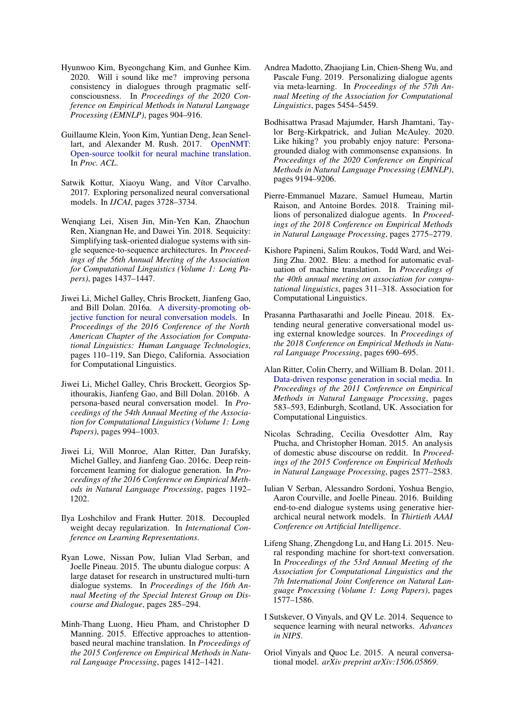- <span id="page-9-13"></span>Hyunwoo Kim, Byeongchang Kim, and Gunhee Kim. 2020. Will i sound like me? improving persona consistency in dialogues through pragmatic selfconsciousness. In *Proceedings of the 2020 Conference on Empirical Methods in Natural Language Processing (EMNLP)*, pages 904–916.
- <span id="page-9-16"></span>Guillaume Klein, Yoon Kim, Yuntian Deng, Jean Senellart, and Alexander M. Rush. 2017. [OpenNMT:](https://doi.org/10.18653/v1/P17-4012) [Open-source toolkit for neural machine translation.](https://doi.org/10.18653/v1/P17-4012) In *Proc. ACL*.
- <span id="page-9-11"></span>Satwik Kottur, Xiaoyu Wang, and Vítor Carvalho. 2017. Exploring personalized neural conversational models. In *IJCAI*, pages 3728–3734.
- <span id="page-9-0"></span>Wenqiang Lei, Xisen Jin, Min-Yen Kan, Zhaochun Ren, Xiangnan He, and Dawei Yin. 2018. Sequicity: Simplifying task-oriented dialogue systems with single sequence-to-sequence architectures. In *Proceedings of the 56th Annual Meeting of the Association for Computational Linguistics (Volume 1: Long Papers)*, pages 1437–1447.
- <span id="page-9-20"></span>Jiwei Li, Michel Galley, Chris Brockett, Jianfeng Gao, and Bill Dolan. 2016a. [A diversity-promoting ob](https://doi.org/10.18653/v1/N16-1014)[jective function for neural conversation models.](https://doi.org/10.18653/v1/N16-1014) In *Proceedings of the 2016 Conference of the North American Chapter of the Association for Computational Linguistics: Human Language Technologies*, pages 110–119, San Diego, California. Association for Computational Linguistics.
- <span id="page-9-6"></span>Jiwei Li, Michel Galley, Chris Brockett, Georgios Spithourakis, Jianfeng Gao, and Bill Dolan. 2016b. A persona-based neural conversation model. In *Proceedings of the 54th Annual Meeting of the Association for Computational Linguistics (Volume 1: Long Papers)*, pages 994–1003.
- <span id="page-9-4"></span>Jiwei Li, Will Monroe, Alan Ritter, Dan Jurafsky, Michel Galley, and Jianfeng Gao. 2016c. Deep reinforcement learning for dialogue generation. In *Proceedings of the 2016 Conference on Empirical Methods in Natural Language Processing*, pages 1192– 1202.
- <span id="page-9-17"></span>Ilya Loshchilov and Frank Hutter. 2018. Decoupled weight decay regularization. In *International Conference on Learning Representations*.
- <span id="page-9-1"></span>Ryan Lowe, Nissan Pow, Iulian Vlad Serban, and Joelle Pineau. 2015. The ubuntu dialogue corpus: A large dataset for research in unstructured multi-turn dialogue systems. In *Proceedings of the 16th Annual Meeting of the Special Interest Group on Discourse and Dialogue*, pages 285–294.
- <span id="page-9-18"></span>Minh-Thang Luong, Hieu Pham, and Christopher D Manning. 2015. Effective approaches to attentionbased neural machine translation. In *Proceedings of the 2015 Conference on Empirical Methods in Natural Language Processing*, pages 1412–1421.
- <span id="page-9-12"></span>Andrea Madotto, Zhaojiang Lin, Chien-Sheng Wu, and Pascale Fung. 2019. Personalizing dialogue agents via meta-learning. In *Proceedings of the 57th Annual Meeting of the Association for Computational Linguistics*, pages 5454–5459.
- <span id="page-9-14"></span>Bodhisattwa Prasad Majumder, Harsh Jhamtani, Taylor Berg-Kirkpatrick, and Julian McAuley. 2020. Like hiking? you probably enjoy nature: Personagrounded dialog with commonsense expansions. In *Proceedings of the 2020 Conference on Empirical Methods in Natural Language Processing (EMNLP)*, pages 9194–9206.
- <span id="page-9-7"></span>Pierre-Emmanuel Mazare, Samuel Humeau, Martin Raison, and Antoine Bordes. 2018. Training millions of personalized dialogue agents. In *Proceedings of the 2018 Conference on Empirical Methods in Natural Language Processing*, pages 2775–2779.
- <span id="page-9-15"></span>Kishore Papineni, Salim Roukos, Todd Ward, and Wei-Jing Zhu. 2002. Bleu: a method for automatic evaluation of machine translation. In *Proceedings of the 40th annual meeting on association for computational linguistics*, pages 311–318. Association for Computational Linguistics.
- <span id="page-9-5"></span>Prasanna Parthasarathi and Joelle Pineau. 2018. Extending neural generative conversational model using external knowledge sources. In *Proceedings of the 2018 Conference on Empirical Methods in Natural Language Processing*, pages 690–695.
- <span id="page-9-2"></span>Alan Ritter, Colin Cherry, and William B. Dolan. 2011. [Data-driven response generation in social media.](https://www.aclweb.org/anthology/D11-1054) In *Proceedings of the 2011 Conference on Empirical Methods in Natural Language Processing*, pages 583–593, Edinburgh, Scotland, UK. Association for Computational Linguistics.
- <span id="page-9-8"></span>Nicolas Schrading, Cecilia Ovesdotter Alm, Ray Ptucha, and Christopher Homan. 2015. An analysis of domestic abuse discourse on reddit. In *Proceedings of the 2015 Conference on Empirical Methods in Natural Language Processing*, pages 2577–2583.
- <span id="page-9-3"></span>Iulian V Serban, Alessandro Sordoni, Yoshua Bengio, Aaron Courville, and Joelle Pineau. 2016. Building end-to-end dialogue systems using generative hierarchical neural network models. In *Thirtieth AAAI Conference on Artificial Intelligence*.
- <span id="page-9-9"></span>Lifeng Shang, Zhengdong Lu, and Hang Li. 2015. Neural responding machine for short-text conversation. In *Proceedings of the 53rd Annual Meeting of the Association for Computational Linguistics and the 7th International Joint Conference on Natural Language Processing (Volume 1: Long Papers)*, pages 1577–1586.
- <span id="page-9-10"></span>I Sutskever, O Vinyals, and QV Le. 2014. Sequence to sequence learning with neural networks. *Advances in NIPS*.
- <span id="page-9-19"></span>Oriol Vinyals and Quoc Le. 2015. A neural conversational model. *arXiv preprint arXiv:1506.05869*.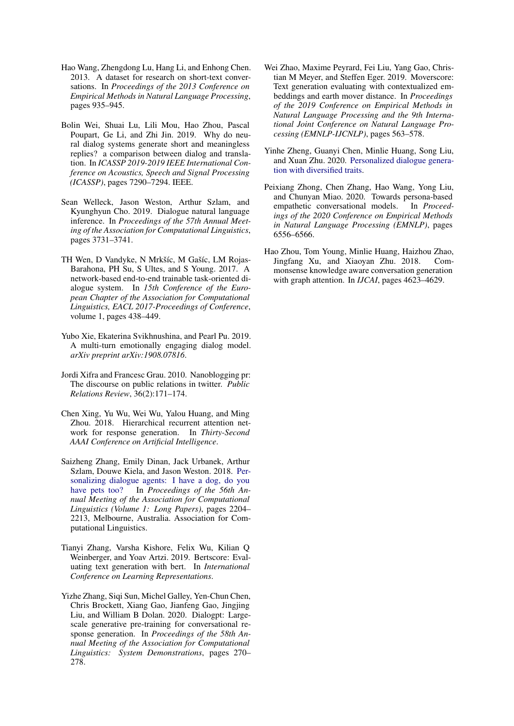- <span id="page-10-11"></span>Hao Wang, Zhengdong Lu, Hang Li, and Enhong Chen. 2013. A dataset for research on short-text conversations. In *Proceedings of the 2013 Conference on Empirical Methods in Natural Language Processing*, pages 935–945.
- <span id="page-10-1"></span>Bolin Wei, Shuai Lu, Lili Mou, Hao Zhou, Pascal Poupart, Ge Li, and Zhi Jin. 2019. Why do neural dialog systems generate short and meaningless replies? a comparison between dialog and translation. In *ICASSP 2019-2019 IEEE International Conference on Acoustics, Speech and Signal Processing (ICASSP)*, pages 7290–7294. IEEE.
- <span id="page-10-9"></span>Sean Welleck, Jason Weston, Arthur Szlam, and Kyunghyun Cho. 2019. Dialogue natural language inference. In *Proceedings of the 57th Annual Meeting of the Association for Computational Linguistics*, pages 3731–3741.
- <span id="page-10-0"></span>TH Wen, D Vandyke, N Mrkšíc, M Gašíc, LM Rojas-Barahona, PH Su, S Ultes, and S Young. 2017. A network-based end-to-end trainable task-oriented dialogue system. In *15th Conference of the European Chapter of the Association for Computational Linguistics, EACL 2017-Proceedings of Conference*, volume 1, pages 438–449.
- <span id="page-10-12"></span>Yubo Xie, Ekaterina Svikhnushina, and Pearl Pu. 2019. A multi-turn emotionally engaging dialog model. *arXiv preprint arXiv:1908.07816*.
- <span id="page-10-3"></span>Jordi Xifra and Francesc Grau. 2010. Nanoblogging pr: The discourse on public relations in twitter. *Public Relations Review*, 36(2):171–174.
- <span id="page-10-8"></span>Chen Xing, Yu Wu, Wei Wu, Yalou Huang, and Ming Zhou. 2018. Hierarchical recurrent attention network for response generation. In *Thirty-Second AAAI Conference on Artificial Intelligence*.
- <span id="page-10-2"></span>Saizheng Zhang, Emily Dinan, Jack Urbanek, Arthur Szlam, Douwe Kiela, and Jason Weston. 2018. [Per](https://doi.org/10.18653/v1/P18-1205)[sonalizing dialogue agents: I have a dog, do you](https://doi.org/10.18653/v1/P18-1205) [have pets too?](https://doi.org/10.18653/v1/P18-1205) In *Proceedings of the 56th Annual Meeting of the Association for Computational Linguistics (Volume 1: Long Papers)*, pages 2204– 2213, Melbourne, Australia. Association for Computational Linguistics.
- <span id="page-10-6"></span>Tianyi Zhang, Varsha Kishore, Felix Wu, Kilian Q Weinberger, and Yoav Artzi. 2019. Bertscore: Evaluating text generation with bert. In *International Conference on Learning Representations*.
- <span id="page-10-10"></span>Yizhe Zhang, Siqi Sun, Michel Galley, Yen-Chun Chen, Chris Brockett, Xiang Gao, Jianfeng Gao, Jingjing Liu, and William B Dolan. 2020. Dialogpt: Largescale generative pre-training for conversational response generation. In *Proceedings of the 58th Annual Meeting of the Association for Computational Linguistics: System Demonstrations*, pages 270– 278.
- <span id="page-10-7"></span>Wei Zhao, Maxime Peyrard, Fei Liu, Yang Gao, Christian M Meyer, and Steffen Eger. 2019. Moverscore: Text generation evaluating with contextualized embeddings and earth mover distance. In *Proceedings of the 2019 Conference on Empirical Methods in Natural Language Processing and the 9th International Joint Conference on Natural Language Processing (EMNLP-IJCNLP)*, pages 563–578.
- <span id="page-10-4"></span>Yinhe Zheng, Guanyi Chen, Minlie Huang, Song Liu, and Xuan Zhu. 2020. [Personalized dialogue genera](http://arxiv.org/abs/1901.09672)[tion with diversified traits.](http://arxiv.org/abs/1901.09672)
- <span id="page-10-5"></span>Peixiang Zhong, Chen Zhang, Hao Wang, Yong Liu, and Chunyan Miao. 2020. Towards persona-based empathetic conversational models. In *Proceedings of the 2020 Conference on Empirical Methods in Natural Language Processing (EMNLP)*, pages 6556–6566.
- <span id="page-10-13"></span>Hao Zhou, Tom Young, Minlie Huang, Haizhou Zhao, Jingfang Xu, and Xiaoyan Zhu. 2018. Commonsense knowledge aware conversation generation with graph attention. In *IJCAI*, pages 4623–4629.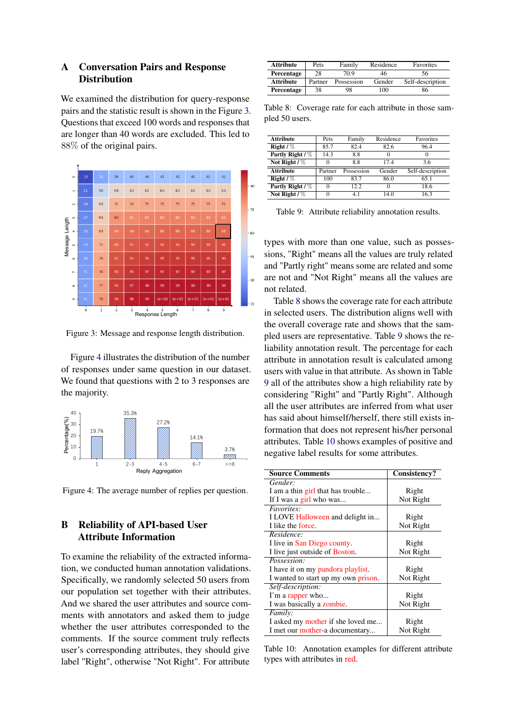### <span id="page-11-1"></span>A Conversation Pairs and Response **Distribution**

We examined the distribution for query-response pairs and the statistic result is shown in the Figure [3.](#page-11-0) Questions that exceed 100 words and responses that are longer than 40 words are excluded. This led to 88% of the original pairs.

<span id="page-11-0"></span>

Figure 3: Message and response length distribution.

Figure [4](#page-11-3) illustrates the distribution of the number of responses under same question in our dataset. We found that questions with 2 to 3 responses are the majority.

<span id="page-11-3"></span>

Figure 4: The average number of replies per question.

## <span id="page-11-2"></span>B Reliability of API-based User Attribute Information

To examine the reliability of the extracted information, we conducted human annotation validations. Specifically, we randomly selected 50 users from our population set together with their attributes. And we shared the user attributes and source comments with annotators and asked them to judge whether the user attributes corresponded to the comments. If the source comment truly reflects user's corresponding attributes, they should give label "Right", otherwise "Not Right". For attribute

<span id="page-11-4"></span>

| Attribute        | Pets    | Family     | Residence | <b>Favorites</b> |
|------------------|---------|------------|-----------|------------------|
| Percentage       | 28      | 70.9       | 46        | 56               |
| <b>Attribute</b> | Partner | Possession | Gender    | Self-description |
| Percentage       | 38      | 98         | 100       | 86               |

Table 8: Coverage rate for each attribute in those sampled 50 users.

<span id="page-11-5"></span>

| Attribute        | Pets    | Family     | Residence | Favorites        |
|------------------|---------|------------|-----------|------------------|
| Right / $%$      | 85.7    | 82.4       | 82.6      | 96.4             |
| Partly Right / % | 14.3    | 8.8        |           | $\Omega$         |
| Not Right $/$ %  |         | 8.8        | 17.4      | 3.6              |
| <b>Attribute</b> | Partner | Possession | Gender    | Self-description |
| Right / $%$      | 100     | 83.7       | 86.0      | 65.1             |
| Partly Right / % |         | 12.2       |           | 18.6             |
| Not Right $/$ %  |         | 4.1        | 14.0      | 16.3             |

Table 9: Attribute reliability annotation results.

types with more than one value, such as possessions, "Right" means all the values are truly related and "Partly right" means some are related and some are not and "Not Right" means all the values are not related.

Table [8](#page-11-4) shows the coverage rate for each attribute in selected users. The distribution aligns well with the overall coverage rate and shows that the sampled users are representative. Table [9](#page-11-5) shows the reliability annotation result. The percentage for each attribute in annotation result is calculated among users with value in that attribute. As shown in Table [9](#page-11-5) all of the attributes show a high reliability rate by considering "Right" and "Partly Right". Although all the user attributes are inferred from what user has said about himself/herself, there still exists information that does not represent his/her personal attributes. Table [10](#page-11-6) shows examples of positive and negative label results for some attributes.

<span id="page-11-6"></span>

| <b>Source Comments</b>              | Consistency? |
|-------------------------------------|--------------|
| Gender:                             |              |
| I am a thin girl that has trouble   | Right        |
| If I was a girl who was             | Not Right    |
| <i>Favorites:</i>                   |              |
| I LOVE Halloween and delight in     | Right        |
| I like the force.                   | Not Right    |
| Residence:                          |              |
| I live in San Diego county.         | Right        |
| I live just outside of Boston.      | Not Right    |
| Possession:                         |              |
| I have it on my pandora playlist.   | Right        |
| I wanted to start up my own prison. | Not Right    |
| Self-description:                   |              |
| I'm a rapper who                    | Right        |
| I was basically a zombie.           | Not Right    |
| <i>Family:</i>                      |              |
| I asked my mother if she loved me   | Right        |
| I met our mother-a documentary      | Not Right    |

Table 10: Annotation examples for different attribute types with attributes in red.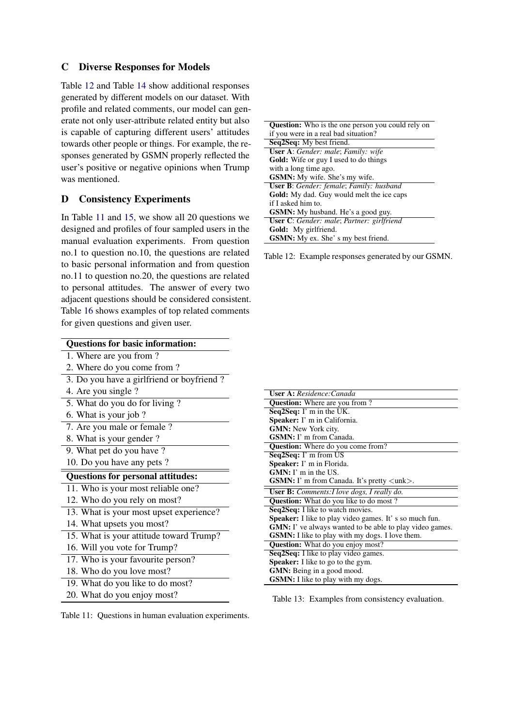### <span id="page-12-2"></span>C Diverse Responses for Models

Table [12](#page-12-1) and Table [14](#page-13-0) show additional responses generated by different models on our dataset. With profile and related comments, our model can generate not only user-attribute related entity but also is capable of capturing different users' attitudes towards other people or things. For example, the responses generated by GSMN properly reflected the user's positive or negative opinions when Trump was mentioned.

### <span id="page-12-0"></span>D Consistency Experiments

In Table [11](#page-12-4) and [15,](#page-13-1) we show all 20 questions we designed and profiles of four sampled users in the manual evaluation experiments. From question no.1 to question no.10, the questions are related to basic personal information and from question no.11 to question no.20, the questions are related to personal attitudes. The answer of every two adjacent questions should be considered consistent. Table [16](#page-14-0) shows examples of top related comments for given questions and given user.

<span id="page-12-4"></span>

| <b>Questions for basic information:</b>   |
|-------------------------------------------|
| 1. Where are you from?                    |
| 2. Where do you come from?                |
| 3. Do you have a girlfriend or boyfriend? |
| 4. Are you single?                        |
| 5. What do you do for living?             |
| 6. What is your job?                      |
| 7. Are you male or female ?               |
| 8. What is your gender?                   |
| 9. What pet do you have?                  |
| 10. Do you have any pets?                 |
| <b>Questions for personal attitudes:</b>  |
| 11. Who is your most reliable one?        |
| 12. Who do you rely on most?              |
| 13. What is your most upset experience?   |
| 14. What upsets you most?                 |
| 15. What is your attitude toward Trump?   |
| 16. Will you vote for Trump?              |
| 17. Who is your favourite person?         |
| 18. Who do you love most?                 |
| 19. What do you like to do most?          |
| 20. What do you enjoy most?               |

<span id="page-12-1"></span>

|                    | <b>Question:</b> Who is the one person you could rely on |
|--------------------|----------------------------------------------------------|
|                    | if you were in a real bad situation?                     |
|                    | Seq2Seq: My best friend.                                 |
|                    | User A: Gender: male; Family: wife                       |
|                    | <b>Gold:</b> Wife or guy I used to do things             |
|                    | with a long time ago.                                    |
|                    | <b>GSMN:</b> My wife. She's my wife.                     |
|                    | <b>User B</b> : Gender: female; Family: husband          |
|                    | <b>Gold:</b> My dad. Guy would melt the ice caps         |
| if I asked him to. |                                                          |
|                    | <b>GSMN:</b> My husband. He's a good guy.                |
|                    | <b>User C</b> : Gender: male; Partner: girlfriend        |
|                    | Gold: My girlfriend.                                     |
|                    | <b>GSMN:</b> My ex. She's my best friend.                |

Table 12: Example responses generated by our GSMN.

<span id="page-12-3"></span>

| <b>User A:</b> Residence: Canada                                     |
|----------------------------------------------------------------------|
| <b>Question:</b> Where are you from?                                 |
| Seq2Seq: I' m in the UK.                                             |
| Speaker: I' m in California.                                         |
| <b>GMN:</b> New York city.                                           |
| <b>GSMN:</b> I' m from Canada.                                       |
| Question: Where do you come from?                                    |
| Seq2Seq: I' m from US                                                |
| Speaker: I' m in Florida.                                            |
| $GMN: I'$ m in the US.                                               |
| <b>GSMN:</b> I' m from Canada. It's pretty $\langle$ unk $\rangle$ . |
| <b>User B:</b> Comments: I love dogs, I really do.                   |
| <b>Question:</b> What do you like to do most?                        |
| Seq2Seq: I like to watch movies.                                     |
| <b>Speaker:</b> I like to play video games. It's so much fun.        |
| <b>GMN:</b> I' ve always wanted to be able to play video games.      |
| <b>GSMN:</b> I like to play with my dogs. I love them.               |
| <b>Question:</b> What do you enjoy most?                             |
| Seq2Seq: I like to play video games.                                 |
| Speaker: I like to go to the gym.                                    |
| <b>GMN:</b> Being in a good mood.                                    |
| GSMN: I like to play with my dogs.                                   |

Table 13: Examples from consistency evaluation.

Table 11: Questions in human evaluation experiments.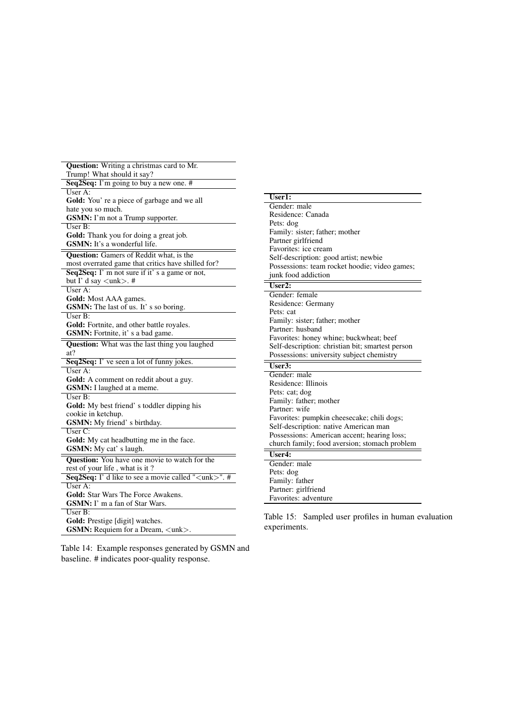<span id="page-13-0"></span>

| Question: Writing a christmas card to Mr.                                   |
|-----------------------------------------------------------------------------|
| Trump! What should it say?                                                  |
| Seq2Seq: I'm going to buy a new one. #                                      |
| User A:                                                                     |
| Gold: You' re a piece of garbage and we all                                 |
| hate you so much.                                                           |
| <b>GSMN:</b> I'm not a Trump supporter.                                     |
| User B:                                                                     |
| Gold: Thank you for doing a great job.                                      |
| GSMN: It's a wonderful life.                                                |
| Question: Gamers of Reddit what, is the                                     |
| most overrated game that critics have shilled for?                          |
| Seq2Seq: I' m not sure if it' s a game or not,                              |
| but I' d say $\langle$ unk $\rangle$ . #                                    |
| User $A$ :                                                                  |
| Gold: Most AAA games.                                                       |
| GSMN: The last of us. It's so boring.                                       |
| User B:                                                                     |
| Gold: Fortnite, and other battle royales.                                   |
| GSMN: Fortnite, it's a bad game.                                            |
| <b>Question:</b> What was the last thing you laughed                        |
| at?                                                                         |
| Seq2Seq: I' ve seen a lot of funny jokes.                                   |
| User A:                                                                     |
|                                                                             |
| Gold: A comment on reddit about a guy.<br><b>GSMN:</b> I laughed at a meme. |
| $\overline{\text{User B}}$ :                                                |
|                                                                             |
| Gold: My best friend' s toddler dipping his                                 |
| cookie in ketchup.                                                          |
| GSMN: My friend' s birthday.<br>$\overline{\text{User C}}$ :                |
|                                                                             |
| Gold: My cat headbutting me in the face.                                    |
| <b>GSMN:</b> My cat' s laugh.                                               |
| <b>Question:</b> You have one movie to watch for the                        |
| rest of your life, what is it?                                              |
| <b>Seq2Seq:</b> I' d like to see a movie called " $\lt$ unk $>$ ". #        |
| $User A$ :                                                                  |
| <b>Gold:</b> Star Wars The Force Awakens.                                   |
| GSMN: I' m a fan of Star Wars.                                              |
| User B:                                                                     |
| Gold: Prestige [digit] watches.                                             |
| <b>GSMN:</b> Requiem for a Dream, <unk>.</unk>                              |

Table 14: Example responses generated by GSMN and baseline. # indicates poor-quality response.

<span id="page-13-1"></span>

| $User1$ :                                        |
|--------------------------------------------------|
| Gender: male                                     |
| Residence: Canada                                |
| Pets: dog                                        |
| Family: sister; father; mother                   |
| Partner girlfriend                               |
| Favorites: ice cream                             |
| Self-description: good artist; newbie            |
| Possessions: team rocket hoodie; video games;    |
| junk food addiction                              |
| $\overline{\text{User2}}$ :                      |
| Gender: female                                   |
| Residence: Germany                               |
| Pets: cat                                        |
| Family: sister; father; mother                   |
| Partner: husband                                 |
| Favorites: honey whine; buckwheat; beef          |
| Self-description: christian bit; smartest person |
| Possessions: university subject chemistry        |
| $User3$                                          |
| Gender: male                                     |
| Residence: Illinois                              |
| Pets: cat; dog                                   |
| Family: father; mother                           |
| Partner: wife                                    |
| Favorites: pumpkin cheesecake; chili dogs;       |
| Self-description: native American man            |
| Possessions: American accent; hearing loss;      |
| church family; food aversion; stomach problem    |
| $\overline{\text{User4}}$ :                      |
| Gender: male                                     |
| Pets: dog                                        |
| Family: father                                   |
| Partner: girlfriend                              |
|                                                  |

Table 15: Sampled user profiles in human evaluation experiments.